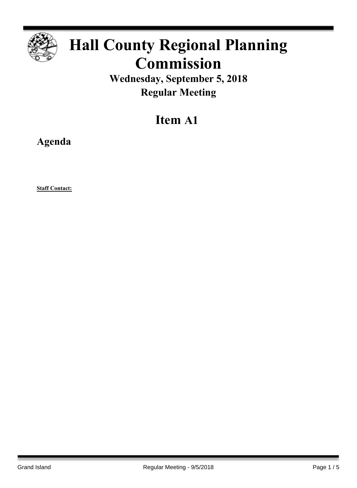

# **Hall County Regional Planning Commission**

**Wednesday, September 5, 2018 Regular Meeting**

# **Item A1**

**Agenda**

**Staff Contact:**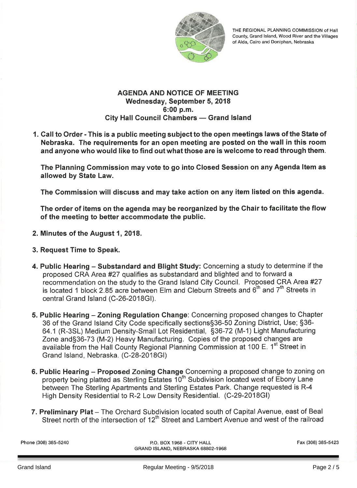

THE REGIONAL PLANNING COMMISSION of Hall County, Grand Island, Wood River and the Villages of Alda, Cairo and Doniphan, Nebraska

### **AGENDA AND NOTICE OF MEETING** Wednesday, September 5, 2018 6:00 p.m. **City Hall Council Chambers - Grand Island**

1. Call to Order - This is a public meeting subject to the open meetings laws of the State of Nebraska. The requirements for an open meeting are posted on the wall in this room and anyone who would like to find out what those are is welcome to read through them.

The Planning Commission may vote to go into Closed Session on any Agenda Item as allowed by State Law.

The Commission will discuss and may take action on any item listed on this agenda.

The order of items on the agenda may be reorganized by the Chair to facilitate the flow of the meeting to better accommodate the public.

- 2. Minutes of the August 1, 2018.
- 3. Request Time to Speak.
- 4. Public Hearing Substandard and Blight Study: Concerning a study to determine if the proposed CRA Area #27 qualifies as substandard and blighted and to forward a recommendation on the study to the Grand Island City Council. Proposed CRA Area #27 is located 1 block 2.85 acre between Elm and Cleburn Streets and  $6<sup>th</sup>$  and  $7<sup>th</sup>$  Streets in central Grand Island (C-26-2018GI).
- 5. Public Hearing Zoning Regulation Change: Concerning proposed changes to Chapter 36 of the Grand Island City Code specifically sections§36-50 Zoning District, Use; §36-64.1 (R-3SL) Medium Density-Small Lot Residential, §36-72 (M-1) Light Manufacturing Zone and §36-73 (M-2) Heavy Manufacturing. Copies of the proposed changes are available from the Hall County Regional Planning Commission at 100 E. 1<sup>st</sup> Street in Grand Island, Nebraska. (C-28-2018GI)
- 6. Public Hearing Proposed Zoning Change Concerning a proposed change to zoning on property being platted as Sterling Estates 10<sup>th</sup> Subdivision located west of Ebony Lane between The Sterling Apartments and Sterling Estates Park. Change requested is R-4 High Density Residential to R-2 Low Density Residential. (C-29-2018GI)
- 7. Preliminary Plat The Orchard Subdivision located south of Capital Avenue, east of Beal Street north of the intersection of 12<sup>th</sup> Street and Lambert Avenue and west of the railroad

Phone (308) 385-5240

P.O. BOX 1968 - CITY HALL GRAND ISLAND, NEBRASKA 68802-1968 Fax (308) 385-5423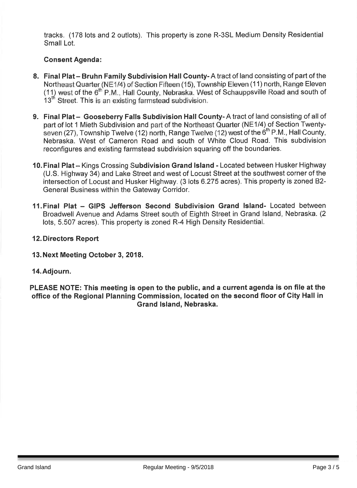tracks. (178 lots and 2 outlots). This property is zone R-3SL Medium Density Residential Small Lot.

# **Consent Agenda:**

- 8. Final Plat Bruhn Family Subdivision Hall County-A tract of land consisting of part of the Northeast Quarter (NE1/4) of Section Fifteen (15), Township Eleven (11) north, Range Eleven (11) west of the 6<sup>th</sup> P.M., Hall County, Nebraska. West of Schauppsville Road and south of 13<sup>th</sup> Street. This is an existing farmstead subdivision.
- 9. Final Plat Gooseberry Falls Subdivision Hall County-A tract of land consisting of all of part of lot 1 Mieth Subdivision and part of the Northeast Quarter (NE1/4) of Section Twentyseven (27), Township Twelve (12) north, Range Twelve (12) west of the 6<sup>th</sup> P.M., Hall County, Nebraska. West of Cameron Road and south of White Cloud Road. This subdivision reconfigures and existing farmstead subdivision squaring off the boundaries.
- 10. Final Plat Kings Crossing Subdivision Grand Island Located between Husker Highway (U.S. Highway 34) and Lake Street and west of Locust Street at the southwest corner of the intersection of Locust and Husker Highway. (3 lots 6.275 acres). This property is zoned B2-General Business within the Gateway Corridor.
- 11. Final Plat GIPS Jefferson Second Subdivision Grand Island- Located between Broadwell Avenue and Adams Street south of Eighth Street in Grand Island, Nebraska. (2 lots, 5.507 acres). This property is zoned R-4 High Density Residential.

## **12. Directors Report**

# 13. Next Meeting October 3, 2018.

### 14. Adjourn.

PLEASE NOTE: This meeting is open to the public, and a current agenda is on file at the office of the Regional Planning Commission, located on the second floor of City Hall in Grand Island, Nebraska.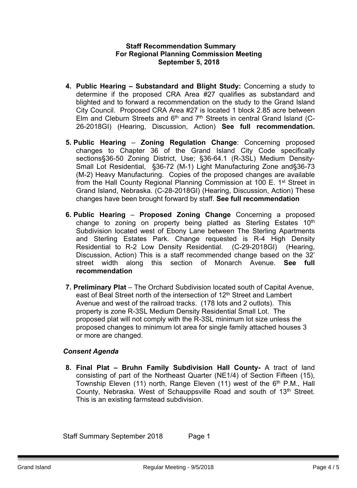#### **Staff Recommendation Summary For Regional Planning Commission Meeting September 5, 2018**

- **4. Public Hearing – Substandard and Blight Study:** Concerning a study to determine if the proposed CRA Area #27 qualifies as substandard and blighted and to forward a recommendation on the study to the Grand Island City Council. Proposed CRA Area #27 is located 1 block 2.85 acre between Elm and Cleburn Streets and  $6<sup>th</sup>$  and  $7<sup>th</sup>$  Streets in central Grand Island (C-26-2018GI) (Hearing, Discussion, Action) **See full recommendation.**
- **5. Public Hearing Zoning Regulation Change**: Concerning proposed changes to Chapter 36 of the Grand Island City Code specifically sections§36-50 Zoning District, Use; §36-64.1 (R-3SL) Medium Density-Small Lot Residential, §36-72 (M-1) Light Manufacturing Zone and§36-73 (M-2) Heavy Manufacturing. Copies of the proposed changes are available from the Hall County Regional Planning Commission at 100 E. 1<sup>st</sup> Street in Grand Island, Nebraska. (C-28-2018GI) (Hearing, Discussion, Action) These changes have been brought forward by staff. **See full recommendation**
- **6. Public Hearing Proposed Zoning Change** Concerning a proposed change to zoning on property being platted as Sterling Estates 10<sup>th</sup> Subdivision located west of Ebony Lane between The Sterling Apartments and Sterling Estates Park. Change requested is R-4 High Density Residential to R-2 Low Density Residential. (C-29-2018GI) (Hearing, Discussion, Action) This is a staff recommended change based on the 32' street width along this section of Monarch Avenue. **See full recommendation**
- **7. Preliminary Plat** The Orchard Subdivision located south of Capital Avenue, east of Beal Street north of the intersection of 12<sup>th</sup> Street and Lambert Avenue and west of the railroad tracks. (178 lots and 2 outlots). This property is zone R-3SL Medium Density Residential Small Lot. The proposed plat will not comply with the R-3SL minimum lot size unless the proposed changes to minimum lot area for single family attached houses 3 or more are changed.

### *Consent Agenda*

**8. Final Plat – Bruhn Family Subdivision Hall County-** A tract of land consisting of part of the Northeast Quarter (NE1/4) of Section Fifteen (15), Township Eleven (11) north, Range Eleven (11) west of the 6<sup>th</sup> P.M., Hall County. Nebraska. West of Schauppsville Road and south of 13<sup>th</sup> Street. This is an existing farmstead subdivision.

Staff Summary September 2018 Page 1